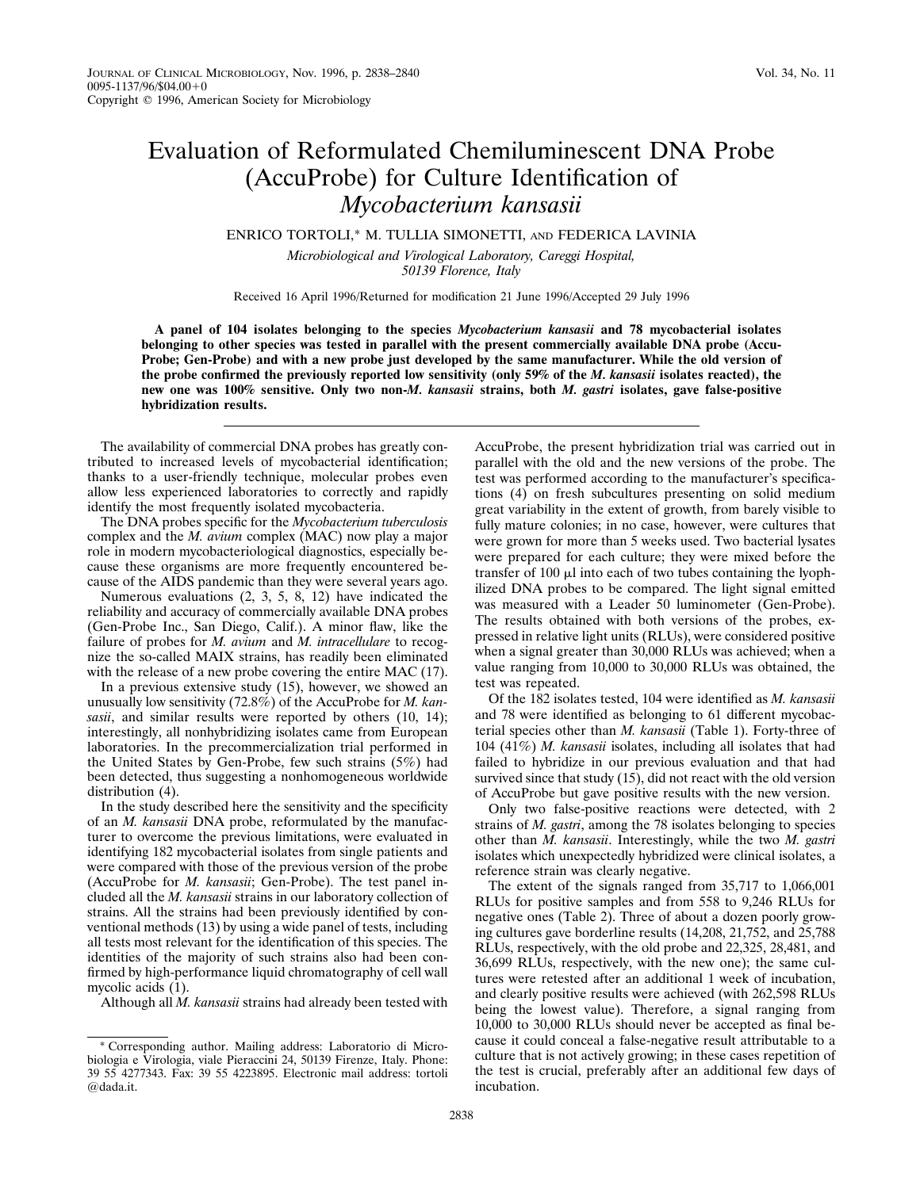## Evaluation of Reformulated Chemiluminescent DNA Probe (AccuProbe) for Culture Identification of *Mycobacterium kansasii*

## ENRICO TORTOLI,\* M. TULLIA SIMONETTI, AND FEDERICA LAVINIA

*Microbiological and Virological Laboratory, Careggi Hospital, 50139 Florence, Italy*

Received 16 April 1996/Returned for modification 21 June 1996/Accepted 29 July 1996

**A panel of 104 isolates belonging to the species** *Mycobacterium kansasii* **and 78 mycobacterial isolates belonging to other species was tested in parallel with the present commercially available DNA probe (Accu-Probe; Gen-Probe) and with a new probe just developed by the same manufacturer. While the old version of the probe confirmed the previously reported low sensitivity (only 59% of the** *M. kansasii* **isolates reacted), the new one was 100% sensitive. Only two non-***M. kansasii* **strains, both** *M. gastri* **isolates, gave false-positive hybridization results.**

The availability of commercial DNA probes has greatly contributed to increased levels of mycobacterial identification; thanks to a user-friendly technique, molecular probes even allow less experienced laboratories to correctly and rapidly identify the most frequently isolated mycobacteria.

The DNA probes specific for the *Mycobacterium tuberculosis* complex and the *M. avium* complex (MAC) now play a major role in modern mycobacteriological diagnostics, especially because these organisms are more frequently encountered because of the AIDS pandemic than they were several years ago.

Numerous evaluations (2, 3, 5, 8, 12) have indicated the reliability and accuracy of commercially available DNA probes (Gen-Probe Inc., San Diego, Calif.). A minor flaw, like the failure of probes for *M. avium* and *M. intracellulare* to recognize the so-called MAIX strains, has readily been eliminated with the release of a new probe covering the entire MAC (17).

In a previous extensive study (15), however, we showed an unusually low sensitivity (72.8%) of the AccuProbe for *M. kansasii*, and similar results were reported by others (10, 14); interestingly, all nonhybridizing isolates came from European laboratories. In the precommercialization trial performed in the United States by Gen-Probe, few such strains (5%) had been detected, thus suggesting a nonhomogeneous worldwide distribution  $(4)$ .

In the study described here the sensitivity and the specificity of an *M. kansasii* DNA probe, reformulated by the manufacturer to overcome the previous limitations, were evaluated in identifying 182 mycobacterial isolates from single patients and were compared with those of the previous version of the probe (AccuProbe for *M. kansasii*; Gen-Probe). The test panel included all the *M. kansasii* strains in our laboratory collection of strains. All the strains had been previously identified by conventional methods (13) by using a wide panel of tests, including all tests most relevant for the identification of this species. The identities of the majority of such strains also had been confirmed by high-performance liquid chromatography of cell wall mycolic acids (1).

Although all *M. kansasii* strains had already been tested with

AccuProbe, the present hybridization trial was carried out in parallel with the old and the new versions of the probe. The test was performed according to the manufacturer's specifications (4) on fresh subcultures presenting on solid medium great variability in the extent of growth, from barely visible to fully mature colonies; in no case, however, were cultures that were grown for more than 5 weeks used. Two bacterial lysates were prepared for each culture; they were mixed before the transfer of 100  $\mu$ l into each of two tubes containing the lyophilized DNA probes to be compared. The light signal emitted was measured with a Leader 50 luminometer (Gen-Probe). The results obtained with both versions of the probes, expressed in relative light units (RLUs), were considered positive when a signal greater than 30,000 RLUs was achieved; when a value ranging from 10,000 to 30,000 RLUs was obtained, the test was repeated.

Of the 182 isolates tested, 104 were identified as *M. kansasii* and 78 were identified as belonging to 61 different mycobacterial species other than *M. kansasii* (Table 1). Forty-three of 104 (41%) *M. kansasii* isolates, including all isolates that had failed to hybridize in our previous evaluation and that had survived since that study (15), did not react with the old version of AccuProbe but gave positive results with the new version.

Only two false-positive reactions were detected, with 2 strains of *M. gastri*, among the 78 isolates belonging to species other than *M. kansasii*. Interestingly, while the two *M. gastri* isolates which unexpectedly hybridized were clinical isolates, a reference strain was clearly negative.

The extent of the signals ranged from 35,717 to 1,066,001 RLUs for positive samples and from 558 to 9,246 RLUs for negative ones (Table 2). Three of about a dozen poorly growing cultures gave borderline results (14,208, 21,752, and 25,788 RLUs, respectively, with the old probe and 22,325, 28,481, and 36,699 RLUs, respectively, with the new one); the same cultures were retested after an additional 1 week of incubation, and clearly positive results were achieved (with 262,598 RLUs being the lowest value). Therefore, a signal ranging from 10,000 to 30,000 RLUs should never be accepted as final because it could conceal a false-negative result attributable to a culture that is not actively growing; in these cases repetition of the test is crucial, preferably after an additional few days of incubation.

<sup>\*</sup> Corresponding author. Mailing address: Laboratorio di Microbiologia e Virologia, viale Pieraccini 24, 50139 Firenze, Italy. Phone: 39 55 4277343. Fax: 39 55 4223895. Electronic mail address: tortoli @dada.it.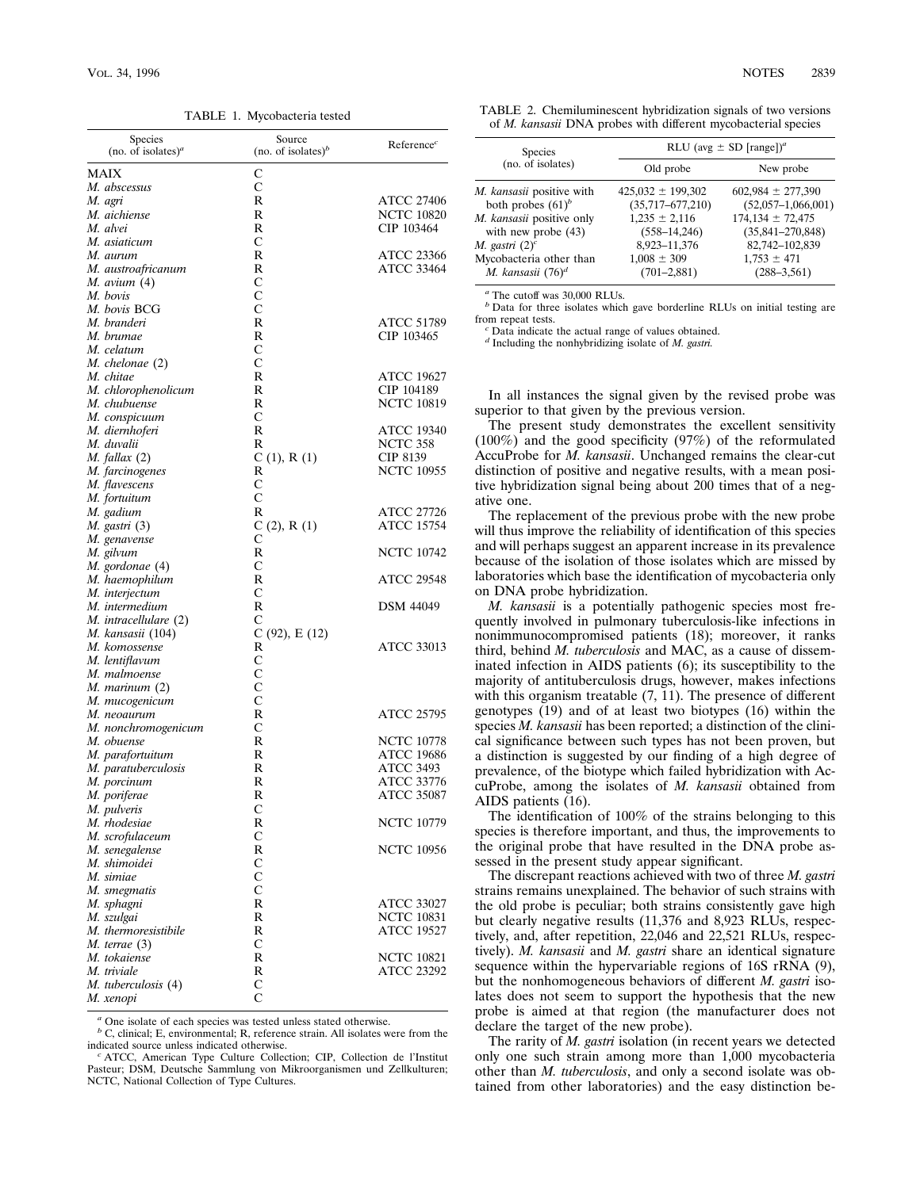TABLE 1. Mycobacteria tested

| Species<br>(no. of isolates) <sup><i>a</i></sup> | Source<br>(no. of isolates) $\delta$ | Reference <sup>c</sup> |
|--------------------------------------------------|--------------------------------------|------------------------|
| <b>MAIX</b>                                      | C                                    |                        |
| M. abscessus                                     | С                                    |                        |
| M. agri                                          | R                                    | ATCC 27406             |
| M. aichiense                                     | R                                    | <b>NCTC 10820</b>      |
| M. alvei                                         | R                                    | CIP 103464             |
| M. asiaticum                                     | С                                    |                        |
| M. aurum                                         | R                                    | ATCC 23366             |
| M. austroafricanum                               | R                                    | <b>ATCC 33464</b>      |
| <i>M. avium</i> (4)                              | С                                    |                        |
| M. bovis                                         | С                                    |                        |
| M. bovis BCG                                     | С                                    |                        |
| M. branderi                                      | R                                    | ATCC 51789             |
| M. brumae                                        | R                                    | CIP 103465             |
| M. celatum                                       | С                                    |                        |
| M. chelonae (2)                                  | С                                    |                        |
| M. chitae                                        | R                                    | ATCC 19627             |
| M. chlorophenolicum                              | R                                    | CIP 104189             |
| M. chubuense                                     | R<br>С                               | <b>NCTC 10819</b>      |
| M. conspicuum                                    | R                                    | <b>ATCC 19340</b>      |
| M. diernhoferi<br>M. duvalii                     | R                                    | NCTC 358               |
| $M.$ fallax $(2)$                                | C(1), R(1)                           | CIP 8139               |
| M. farcinogenes                                  | R                                    | <b>NCTC 10955</b>      |
| M. flavescens                                    | С                                    |                        |
| M. fortuitum                                     | С                                    |                        |
| M. gadium                                        | R                                    | <b>ATCC 27726</b>      |
| <i>M. gastri</i> (3)                             | C(2), R(1)                           | <b>ATCC 15754</b>      |
| M. genavense                                     | С                                    |                        |
| M. gilvum                                        | R                                    | <b>NCTC 10742</b>      |
| M. gordonae (4)                                  | С                                    |                        |
| M. haemophilum                                   | R                                    | ATCC 29548             |
| M. interjectum                                   | $\mathsf{C}$                         |                        |
| M. intermedium                                   | R                                    | <b>DSM 44049</b>       |
| M. intracellulare (2)                            | С                                    |                        |
| M. kansasii (104)                                | C (92), E (12)                       |                        |
| M. komossense                                    | R                                    | ATCC 33013             |
| M. lentiflavum                                   | C                                    |                        |
| M. malmoense                                     | С<br>C                               |                        |
| M. marinum (2)<br>M. mucogenicum                 | $\mathsf{C}$                         |                        |
| M. neoaurum                                      | R                                    | ATCC 25795             |
| M. nonchromogenicum                              | С                                    |                        |
| M. obuense                                       | R                                    | <b>NCTC 10778</b>      |
| M. parafortuitum                                 | R                                    | <b>ATCC 19686</b>      |
| M. paratuberculosis                              | R                                    | ATCC 3493              |
| M. porcinum                                      | R                                    | ATCC 33776             |
| M. poriferae                                     | R                                    | ATCC 35087             |
| M. pulveris                                      | С                                    |                        |
| M. rhodesiae                                     | R                                    | <b>NCTC 10779</b>      |
| M. scrofulaceum                                  | C                                    |                        |
| M. senegalense                                   | R                                    | <b>NCTC 10956</b>      |
| M. shimoidei                                     | C                                    |                        |
| M. simiae                                        | $\mathcal{C}$                        |                        |
| M. smegmatis                                     | C                                    |                        |
| M. sphagni                                       | R                                    | <b>ATCC 33027</b>      |
| M. szulgai                                       | R                                    | <b>NCTC 10831</b>      |
| M. thermoresistibile                             | R                                    | <b>ATCC 19527</b>      |
| $M.$ terrae $(3)$                                | С                                    |                        |
| M. tokaiense                                     | R                                    | <b>NCTC 10821</b>      |
| M. triviale                                      | R                                    | ATCC 23292             |
| M. tuberculosis (4)                              | С<br>C                               |                        |
| М. хепорі                                        |                                      |                        |

*<sup>a</sup>* One isolate of each species was tested unless stated otherwise.

*b* C, clinical; E, environmental; R, reference strain. All isolates were from the indicated source unless indicated otherwise.

<sup>c</sup> ATCC, American Type Culture Collection; CIP, Collection de l'Institut Pasteur; DSM, Deutsche Sammlung von Mikroorganismen und Zellkulturen; NCTC, National Collection of Type Cultures.

| TABLE 2. Chemiluminescent hybridization signals of two versions |                                                                       |  |  |
|-----------------------------------------------------------------|-----------------------------------------------------------------------|--|--|
|                                                                 | of <i>M. kansasii</i> DNA probes with different mycobacterial species |  |  |

| <b>Species</b>                                    | RLU (avg $\pm$ SD [range]) <sup>a</sup> |                                              |  |  |
|---------------------------------------------------|-----------------------------------------|----------------------------------------------|--|--|
| (no. of isolates)                                 | Old probe                               | New probe                                    |  |  |
| M. kansasii positive with                         | $425,032 \pm 199,302$                   | $602,984 \pm 277,390$                        |  |  |
| both probes $(61)^b$<br>M. kansasii positive only | $(35,717-677,210)$<br>$1,235 \pm 2,116$ | $(52,057-1,066,001)$<br>$174,134 \pm 72,475$ |  |  |
| with new probe $(43)$                             | $(558 - 14, 246)$                       | $(35,841 - 270,848)$                         |  |  |
| M. gastri $(2)^c$                                 | 8,923-11,376                            | 82,742-102,839                               |  |  |
| Mycobacteria other than                           | $1,008 \pm 309$                         | $1,753 \pm 471$                              |  |  |
| M. kansasii $(76)^d$                              | $(701 - 2,881)$                         | $(288 - 3, 561)$                             |  |  |

*<sup>a</sup>* The cutoff was 30,000 RLUs.

*b* Data for three isolates which gave borderline RLUs on initial testing are from repeat tests.

Data indicate the actual range of values obtained.

*<sup>d</sup>* Including the nonhybridizing isolate of *M. gastri.*

In all instances the signal given by the revised probe was superior to that given by the previous version.

The present study demonstrates the excellent sensitivity (100%) and the good specificity (97%) of the reformulated AccuProbe for *M. kansasii*. Unchanged remains the clear-cut distinction of positive and negative results, with a mean positive hybridization signal being about 200 times that of a negative one.

The replacement of the previous probe with the new probe will thus improve the reliability of identification of this species and will perhaps suggest an apparent increase in its prevalence because of the isolation of those isolates which are missed by laboratories which base the identification of mycobacteria only on DNA probe hybridization.

*M. kansasii* is a potentially pathogenic species most frequently involved in pulmonary tuberculosis-like infections in nonimmunocompromised patients (18); moreover, it ranks third, behind *M. tuberculosis* and MAC, as a cause of disseminated infection in AIDS patients (6); its susceptibility to the majority of antituberculosis drugs, however, makes infections with this organism treatable  $(7, 11)$ . The presence of different genotypes (19) and of at least two biotypes (16) within the species *M. kansasii* has been reported; a distinction of the clinical significance between such types has not been proven, but a distinction is suggested by our finding of a high degree of prevalence, of the biotype which failed hybridization with AccuProbe, among the isolates of *M. kansasii* obtained from AIDS patients (16).

The identification of 100% of the strains belonging to this species is therefore important, and thus, the improvements to the original probe that have resulted in the DNA probe assessed in the present study appear significant.

The discrepant reactions achieved with two of three *M. gastri* strains remains unexplained. The behavior of such strains with the old probe is peculiar; both strains consistently gave high but clearly negative results (11,376 and 8,923 RLUs, respectively, and, after repetition, 22,046 and 22,521 RLUs, respectively). *M. kansasii* and *M. gastri* share an identical signature sequence within the hypervariable regions of 16S rRNA (9), but the nonhomogeneous behaviors of different *M. gastri* isolates does not seem to support the hypothesis that the new probe is aimed at that region (the manufacturer does not declare the target of the new probe).

The rarity of *M. gastri* isolation (in recent years we detected only one such strain among more than 1,000 mycobacteria other than *M. tuberculosis*, and only a second isolate was obtained from other laboratories) and the easy distinction be